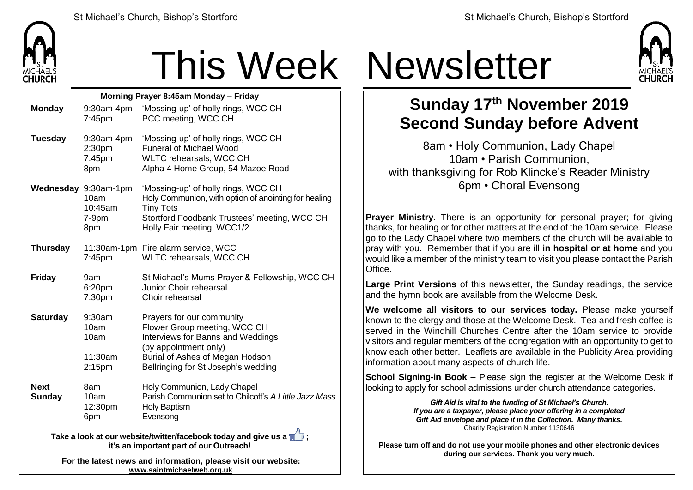

## This Week Newsletter

| Morning Prayer 8:45am Monday - Friday |                                                           |                                                                                                                                                                                                   |  |  |
|---------------------------------------|-----------------------------------------------------------|---------------------------------------------------------------------------------------------------------------------------------------------------------------------------------------------------|--|--|
| <b>Monday</b>                         | 9:30am-4pm<br>7:45pm                                      | 'Mossing-up' of holly rings, WCC CH<br>PCC meeting, WCC CH                                                                                                                                        |  |  |
| <b>Tuesday</b>                        | 9:30am-4pm<br>2:30pm<br>7:45pm<br>8pm                     | 'Mossing-up' of holly rings, WCC CH<br><b>Funeral of Michael Wood</b><br>WLTC rehearsals, WCC CH<br>Alpha 4 Home Group, 54 Mazoe Road                                                             |  |  |
|                                       | Wednesday 9:30am-1pm<br>10am<br>10:45am<br>$7-9pm$<br>8pm | 'Mossing-up' of holly rings, WCC CH<br>Holy Communion, with option of anointing for healing<br><b>Tiny Tots</b><br>Stortford Foodbank Trustees' meeting, WCC CH<br>Holly Fair meeting, WCC1/2     |  |  |
| <b>Thursday</b>                       | 7:45pm                                                    | 11:30am-1pm Fire alarm service, WCC<br>WLTC rehearsals, WCC CH                                                                                                                                    |  |  |
| <b>Friday</b>                         | 9am<br>6:20pm<br>7:30pm                                   | St Michael's Mums Prayer & Fellowship, WCC CH<br>Junior Choir rehearsal<br>Choir rehearsal                                                                                                        |  |  |
| <b>Saturday</b>                       | 9:30am<br>10am<br>10am<br>11:30am<br>2:15 <sub>pm</sub>   | Prayers for our community<br>Flower Group meeting, WCC CH<br>Interviews for Banns and Weddings<br>(by appointment only)<br>Burial of Ashes of Megan Hodson<br>Bellringing for St Joseph's wedding |  |  |
| <b>Next</b><br><b>Sunday</b>          | 8am<br>10am<br>12:30pm<br>6pm                             | Holy Communion, Lady Chapel<br>Parish Communion set to Chilcott's A Little Jazz Mass<br><b>Holy Baptism</b><br>Evensong<br>n.                                                                     |  |  |

**Take a look at our website/twitter/facebook today and give us a**  $\blacksquare$ **: it's an important part of our Outreach!**

**For the latest news and information, please visit our website: [www.saintmichaelweb.org.uk](http://www.saintmichaelweb.org.uk/)**



## **Sunday 17 th November 2019 Second Sunday before Advent**

8am • Holy Communion, Lady Chapel 10am • Parish Communion, with thanksgiving for Rob Klincke's Reader Ministry 6pm • Choral Evensong

**Prayer Ministry.** There is an opportunity for personal prayer; for giving thanks, for healing or for other matters at the end of the 10am service. Please go to the Lady Chapel where two members of the church will be available to pray with you. Remember that if you are ill **in hospital or at home** and you would like a member of the ministry team to visit you please contact the Parish Office.

**Large Print Versions** of this newsletter, the Sunday readings, the service and the hymn book are available from the Welcome Desk.

**We welcome all visitors to our services today.** Please make yourself known to the clergy and those at the Welcome Desk. Tea and fresh coffee is served in the Windhill Churches Centre after the 10am service to provide visitors and regular members of the congregation with an opportunity to get to know each other better. Leaflets are available in the Publicity Area providing information about many aspects of church life.

**School Signing-in Book –** Please sign the register at the Welcome Desk if looking to apply for school admissions under church attendance categories.

> *Gift Aid is vital to the funding of St Michael's Church. If you are a taxpayer, please place your offering in a completed Gift Aid envelope and place it in the Collection. Many thanks.* Charity Registration Number 1130646

**Please turn off and do not use your mobile phones and other electronic devices during our services. Thank you very much.**